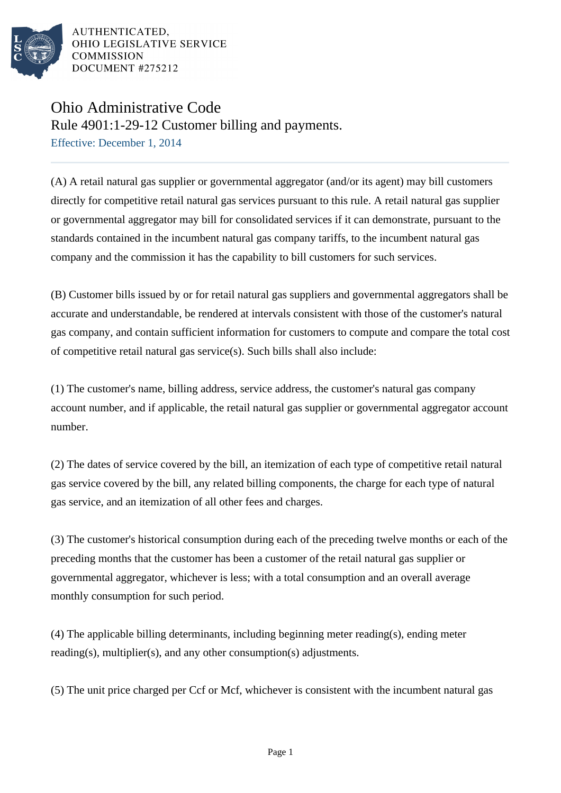

AUTHENTICATED, OHIO LEGISLATIVE SERVICE **COMMISSION** DOCUMENT #275212

## Ohio Administrative Code

Rule 4901:1-29-12 Customer billing and payments.

Effective: December 1, 2014

(A) A retail natural gas supplier or governmental aggregator (and/or its agent) may bill customers directly for competitive retail natural gas services pursuant to this rule. A retail natural gas supplier or governmental aggregator may bill for consolidated services if it can demonstrate, pursuant to the standards contained in the incumbent natural gas company tariffs, to the incumbent natural gas company and the commission it has the capability to bill customers for such services.

(B) Customer bills issued by or for retail natural gas suppliers and governmental aggregators shall be accurate and understandable, be rendered at intervals consistent with those of the customer's natural gas company, and contain sufficient information for customers to compute and compare the total cost of competitive retail natural gas service(s). Such bills shall also include:

(1) The customer's name, billing address, service address, the customer's natural gas company account number, and if applicable, the retail natural gas supplier or governmental aggregator account number.

(2) The dates of service covered by the bill, an itemization of each type of competitive retail natural gas service covered by the bill, any related billing components, the charge for each type of natural gas service, and an itemization of all other fees and charges.

(3) The customer's historical consumption during each of the preceding twelve months or each of the preceding months that the customer has been a customer of the retail natural gas supplier or governmental aggregator, whichever is less; with a total consumption and an overall average monthly consumption for such period.

(4) The applicable billing determinants, including beginning meter reading(s), ending meter reading(s), multiplier(s), and any other consumption(s) adjustments.

(5) The unit price charged per Ccf or Mcf, whichever is consistent with the incumbent natural gas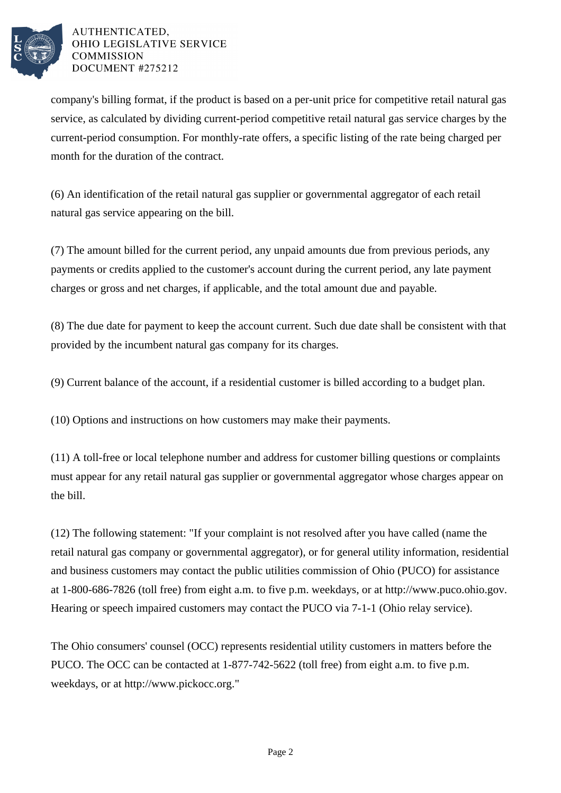

## AUTHENTICATED. OHIO LEGISLATIVE SERVICE **COMMISSION** DOCUMENT #275212

company's billing format, if the product is based on a per-unit price for competitive retail natural gas service, as calculated by dividing current-period competitive retail natural gas service charges by the current-period consumption. For monthly-rate offers, a specific listing of the rate being charged per month for the duration of the contract.

(6) An identification of the retail natural gas supplier or governmental aggregator of each retail natural gas service appearing on the bill.

(7) The amount billed for the current period, any unpaid amounts due from previous periods, any payments or credits applied to the customer's account during the current period, any late payment charges or gross and net charges, if applicable, and the total amount due and payable.

(8) The due date for payment to keep the account current. Such due date shall be consistent with that provided by the incumbent natural gas company for its charges.

(9) Current balance of the account, if a residential customer is billed according to a budget plan.

(10) Options and instructions on how customers may make their payments.

(11) A toll-free or local telephone number and address for customer billing questions or complaints must appear for any retail natural gas supplier or governmental aggregator whose charges appear on the bill.

(12) The following statement: "If your complaint is not resolved after you have called (name the retail natural gas company or governmental aggregator), or for general utility information, residential and business customers may contact the public utilities commission of Ohio (PUCO) for assistance at 1-800-686-7826 (toll free) from eight a.m. to five p.m. weekdays, or at http://www.puco.ohio.gov. Hearing or speech impaired customers may contact the PUCO via 7-1-1 (Ohio relay service).

The Ohio consumers' counsel (OCC) represents residential utility customers in matters before the PUCO. The OCC can be contacted at 1-877-742-5622 (toll free) from eight a.m. to five p.m. weekdays, or at http://www.pickocc.org."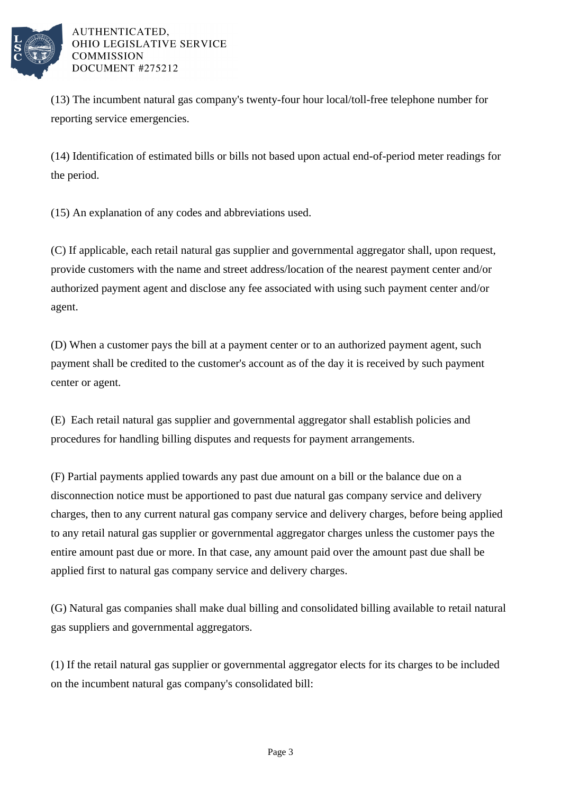

## AUTHENTICATED. OHIO LEGISLATIVE SERVICE **COMMISSION** DOCUMENT #275212

(13) The incumbent natural gas company's twenty-four hour local/toll-free telephone number for reporting service emergencies.

(14) Identification of estimated bills or bills not based upon actual end-of-period meter readings for the period.

(15) An explanation of any codes and abbreviations used.

(C) If applicable, each retail natural gas supplier and governmental aggregator shall, upon request, provide customers with the name and street address/location of the nearest payment center and/or authorized payment agent and disclose any fee associated with using such payment center and/or agent.

(D) When a customer pays the bill at a payment center or to an authorized payment agent, such payment shall be credited to the customer's account as of the day it is received by such payment center or agent.

(E) Each retail natural gas supplier and governmental aggregator shall establish policies and procedures for handling billing disputes and requests for payment arrangements.

(F) Partial payments applied towards any past due amount on a bill or the balance due on a disconnection notice must be apportioned to past due natural gas company service and delivery charges, then to any current natural gas company service and delivery charges, before being applied to any retail natural gas supplier or governmental aggregator charges unless the customer pays the entire amount past due or more. In that case, any amount paid over the amount past due shall be applied first to natural gas company service and delivery charges.

(G) Natural gas companies shall make dual billing and consolidated billing available to retail natural gas suppliers and governmental aggregators.

(1) If the retail natural gas supplier or governmental aggregator elects for its charges to be included on the incumbent natural gas company's consolidated bill: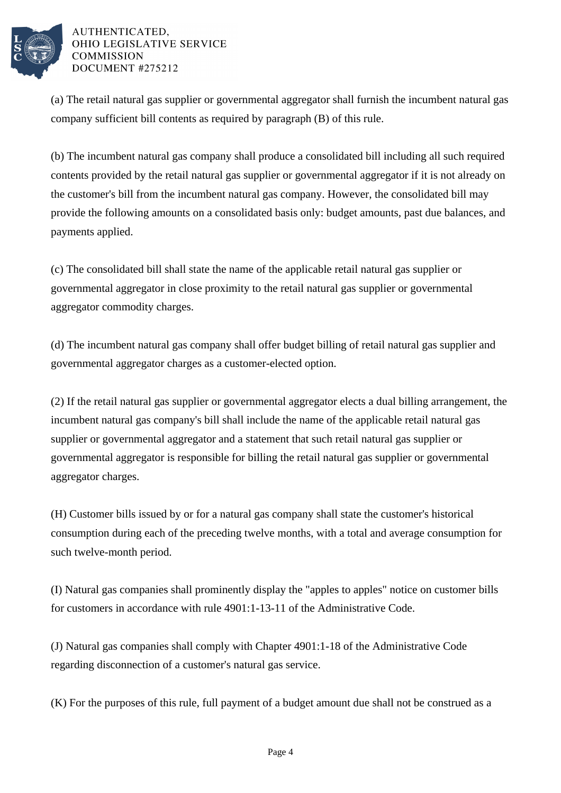

## AUTHENTICATED. OHIO LEGISLATIVE SERVICE **COMMISSION** DOCUMENT #275212

(a) The retail natural gas supplier or governmental aggregator shall furnish the incumbent natural gas company sufficient bill contents as required by paragraph (B) of this rule.

(b) The incumbent natural gas company shall produce a consolidated bill including all such required contents provided by the retail natural gas supplier or governmental aggregator if it is not already on the customer's bill from the incumbent natural gas company. However, the consolidated bill may provide the following amounts on a consolidated basis only: budget amounts, past due balances, and payments applied.

(c) The consolidated bill shall state the name of the applicable retail natural gas supplier or governmental aggregator in close proximity to the retail natural gas supplier or governmental aggregator commodity charges.

(d) The incumbent natural gas company shall offer budget billing of retail natural gas supplier and governmental aggregator charges as a customer-elected option.

(2) If the retail natural gas supplier or governmental aggregator elects a dual billing arrangement, the incumbent natural gas company's bill shall include the name of the applicable retail natural gas supplier or governmental aggregator and a statement that such retail natural gas supplier or governmental aggregator is responsible for billing the retail natural gas supplier or governmental aggregator charges.

(H) Customer bills issued by or for a natural gas company shall state the customer's historical consumption during each of the preceding twelve months, with a total and average consumption for such twelve-month period.

(I) Natural gas companies shall prominently display the "apples to apples" notice on customer bills for customers in accordance with rule 4901:1-13-11 of the Administrative Code.

(J) Natural gas companies shall comply with Chapter 4901:1-18 of the Administrative Code regarding disconnection of a customer's natural gas service.

(K) For the purposes of this rule, full payment of a budget amount due shall not be construed as a